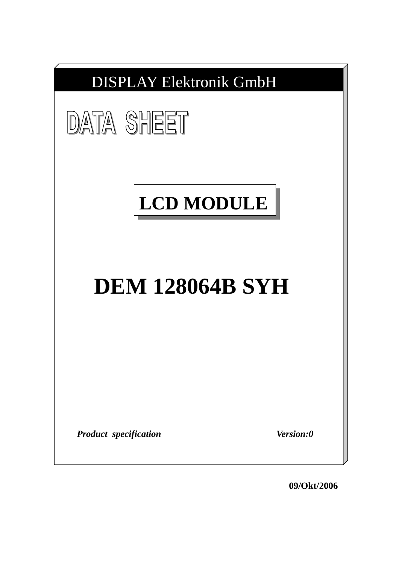

**09/Okt/2006**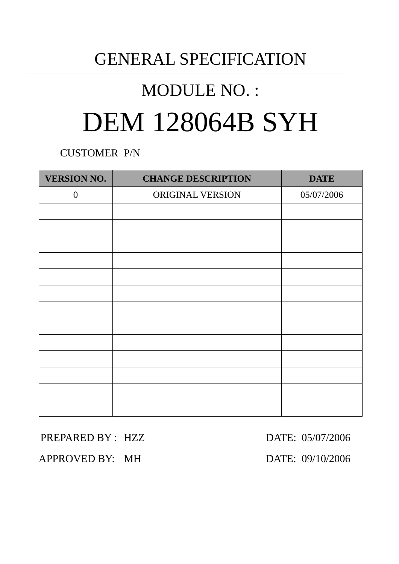## GENERAL SPECIFICATION

# MODULE NO. : DEM 128064B SYH

CUSTOMER P/N

| <b>VERSION NO.</b> | <b>CHANGE DESCRIPTION</b> | <b>DATE</b> |
|--------------------|---------------------------|-------------|
| $\boldsymbol{0}$   | ORIGINAL VERSION          | 05/07/2006  |
|                    |                           |             |
|                    |                           |             |
|                    |                           |             |
|                    |                           |             |
|                    |                           |             |
|                    |                           |             |
|                    |                           |             |
|                    |                           |             |
|                    |                           |             |
|                    |                           |             |
|                    |                           |             |
|                    |                           |             |
|                    |                           |             |

### PREPARED BY : HZZ DATE: 05/07/2006

APPROVED BY: MH DATE: 09/10/2006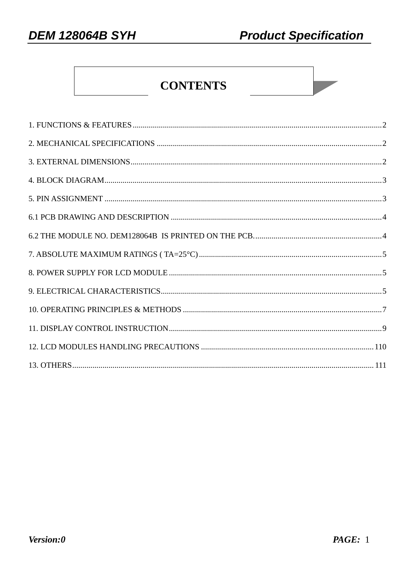**DEM 128064B SYH** 

### **CONTENTS**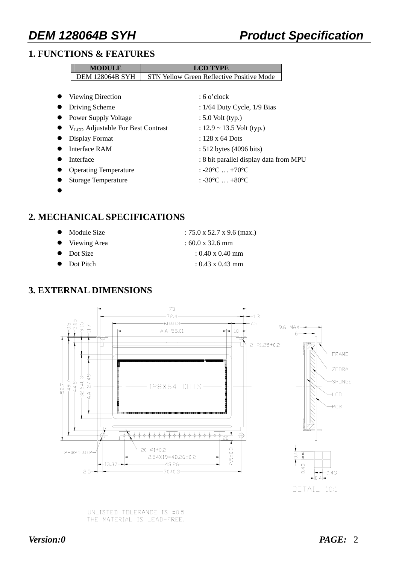### **1. FUNCTIONS & FEATURES**

| <b>MODULE</b>                          | <b>LCD TYPE</b>                                  |
|----------------------------------------|--------------------------------------------------|
| <b>DEM 128064B SYH</b>                 | <b>STN Yellow Green Reflective Positive Mode</b> |
|                                        |                                                  |
| Viewing Direction                      | $:6$ o'clock                                     |
| Driving Scheme                         | : $1/64$ Duty Cycle, $1/9$ Bias                  |
| Power Supply Voltage                   | $: 5.0$ Volt (typ.)                              |
| $V_{LCD}$ Adjustable For Best Contrast | : $12.9 \sim 13.5$ Volt (typ.)                   |
| Display Format                         | $: 128 \times 64$ Dots                           |
| Interface RAM                          | $: 512$ bytes (4096 bits)                        |
| Interface                              | : 8 bit parallel display data from MPU           |
| <b>Operating Temperature</b>           | : $-20\degree C$ $+70\degree C$                  |
| <b>Storage Temperature</b>             | $: -30^{\circ}$ C $ + 80^{\circ}$ C              |

 $\bullet$ 

### **2. MECHANICAL SPECIFICATIONS**

- Module Size  $: 75.0 \times 52.7 \times 9.6 \text{ (max.)}$
- Viewing Area : 60.0 x 32.6 mm
- 
- 

- $\bullet$  Dot Size : 0.40 x 0.40 mm
- $\bullet$  Dot Pitch : 0.43 x 0.43 mm

### **3. EXTERNAL DIMENSIONS**



UNLISTED TOLERANDE IS ±0.5 THE MATERIAL IS LEAD-FREE.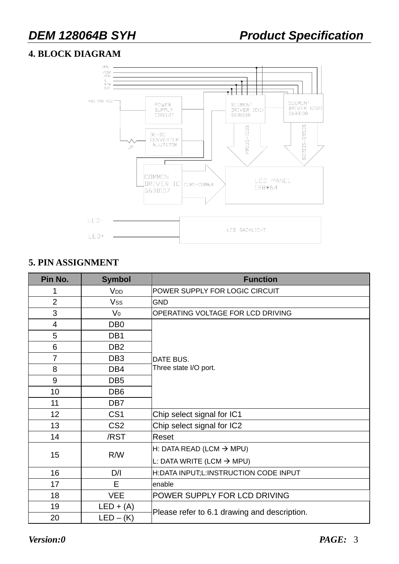### **4. BLOCK DIAGRAM**



### **5. PIN ASSIGNMENT**

| Pin No.         | <b>Symbol</b>   | <b>Function</b>                              |  |  |  |  |
|-----------------|-----------------|----------------------------------------------|--|--|--|--|
|                 | V <sub>DD</sub> | POWER SUPPLY FOR LOGIC CIRCUIT               |  |  |  |  |
| $\overline{2}$  | Vss             | <b>GND</b>                                   |  |  |  |  |
| 3               | V <sub>0</sub>  | OPERATING VOLTAGE FOR LCD DRIVING            |  |  |  |  |
| 4               | DB <sub>0</sub> |                                              |  |  |  |  |
| 5               | DB1             |                                              |  |  |  |  |
| 6               | DB <sub>2</sub> |                                              |  |  |  |  |
| $\overline{7}$  | DB <sub>3</sub> | DATE BUS.                                    |  |  |  |  |
| 8               | DB4             | Three state I/O port.                        |  |  |  |  |
| 9               | DB <sub>5</sub> |                                              |  |  |  |  |
| 10              | DB <sub>6</sub> |                                              |  |  |  |  |
| 11              | DB7             |                                              |  |  |  |  |
| 12 <sub>2</sub> | CS <sub>1</sub> | Chip select signal for IC1                   |  |  |  |  |
| 13              | CS <sub>2</sub> | Chip select signal for IC2                   |  |  |  |  |
| 14              | /RST            | Reset                                        |  |  |  |  |
|                 |                 | H: DATA READ (LCM $\rightarrow$ MPU)         |  |  |  |  |
| 15              | R/W             | L: DATA WRITE (LCM $\rightarrow$ MPU)        |  |  |  |  |
| 16              | D/I             | H:DATA INPUT;L:INSTRUCTION CODE INPUT        |  |  |  |  |
| 17              | E               | enable                                       |  |  |  |  |
| 18              | <b>VEE</b>      | POWER SUPPLY FOR LCD DRIVING                 |  |  |  |  |
| 19              | $LED + (A)$     |                                              |  |  |  |  |
| 20              | $LED - (K)$     | Please refer to 6.1 drawing and description. |  |  |  |  |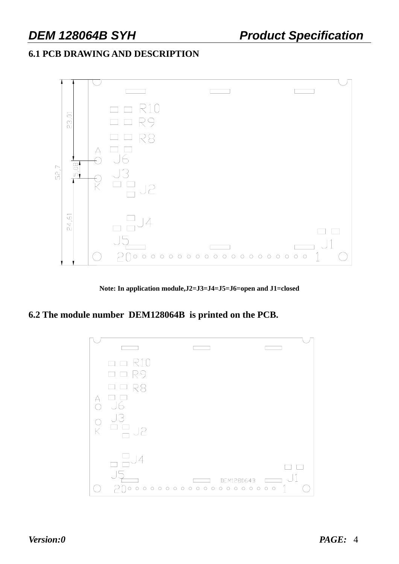### **6.1 PCB DRAWING AND DESCRIPTION**



**Note: In application module,J2=J3=J4=J5=J6=open and J1=closed** 

**6.2 The module number DEM128064B is printed on the PCB.** 

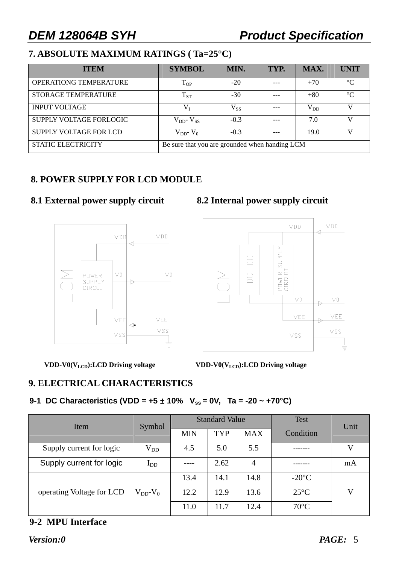### **7. ABSOLUTE MAXIMUM RATINGS ( Ta=25°C)**

| <b>ITEM</b>                                                                 | <b>SYMBOL</b>             | MIN.         | TYP. | MAX.     | <b>UNIT</b>     |
|-----------------------------------------------------------------------------|---------------------------|--------------|------|----------|-----------------|
| <b>OPERATIONG TEMPERATURE</b>                                               | $T_{OP}$                  | $-20$        |      | $+70$    | $\rm ^{\circ}C$ |
| <b>STORAGE TEMPERATURE</b>                                                  | $\mathrm{T_{ST}}$         | $-30$        |      | $+80$    | $\rm ^{\circ}C$ |
| <b>INPUT VOLTAGE</b>                                                        | $V_I$                     | $\rm V_{SS}$ |      | $V_{DD}$ |                 |
| SUPPLY VOLTAGE FORLOGIC                                                     | $\rm V_{DD^+}\, V_{SS^-}$ | $-0.3$       |      | 7.0      | V               |
| SUPPLY VOLTAGE FOR LCD                                                      | $V_{DD}$ - $V_0$          | $-0.3$       |      | 19.0     |                 |
| <b>STATIC ELECTRICITY</b><br>Be sure that you are grounded when handing LCM |                           |              |      |          |                 |

### **8. POWER SUPPLY FOR LCD MODULE**

### **8.1 External power supply circuit 8.2 Internal power supply circuit**





VDD-V0(V<sub>LCD</sub>):LCD Driving voltage VDD-V0(V<sub>LCD</sub>):LCD Driving voltage

### **9. ELECTRICAL CHARACTERISTICS**

### **9-1 DC Characteristics (VDD = +5** ± **10% Vss = 0V, Ta = -20 ~ +70°C)**

| Item                      | Symbol           |            | <b>Standard Value</b> |                | <b>Test</b>     | Unit        |
|---------------------------|------------------|------------|-----------------------|----------------|-----------------|-------------|
|                           |                  | <b>MIN</b> | <b>TYP</b>            | <b>MAX</b>     | Condition       |             |
| Supply current for logic  | $\rm V_{DD}$     | 4.5        | 5.0                   | 5.5            |                 | V           |
| Supply current for logic  | $_{\text{LDD}}$  |            | 2.62                  | $\overline{4}$ |                 | mA          |
|                           |                  | 13.4       | 14.1                  | 14.8           | $-20^{\circ}$ C |             |
| operating Voltage for LCD | $V_{DD}$ - $V_0$ | 12.2       | 12.9                  | 13.6           | $25^{\circ}$ C  | $\mathbf V$ |
|                           |                  | 11.0       | 11.7                  | 12.4           | $70^{\circ}$ C  |             |

### **9-2 MPU Interface**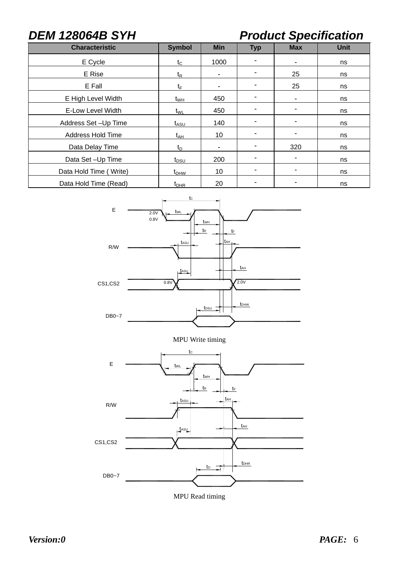### *DEM 128064B SYH Product Specification*

| <b>Characteristic</b>  | <b>Symbol</b>    | <b>Min</b>               | <b>Typ</b> | <b>Max</b>               | <b>Unit</b> |
|------------------------|------------------|--------------------------|------------|--------------------------|-------------|
| E Cycle                | $t_{\rm C}$      | 1000                     |            |                          | ns          |
| E Rise                 | $t_{\mathsf{R}}$ |                          |            | 25                       | ns          |
| E Fall                 | $t_{\mathsf{F}}$ |                          |            | 25                       | ns          |
| E High Level Width     | $t_{WH}$         | 450                      |            | $\overline{\phantom{a}}$ | ns          |
| E-Low Level Width      | $t_{WL}$         | 450                      |            |                          | ns          |
| Address Set-Up Time    | $t_{ASU}$        | 140                      |            |                          | ns          |
| Address Hold Time      | $t_{AH}$         | 10                       |            | -                        | ns          |
| Data Delay Time        | $t_{\text{D}}$   | $\overline{\phantom{a}}$ |            | 320                      | ns          |
| Data Set-Up Time       | $t_{DSU}$        | 200                      |            | $\overline{\phantom{a}}$ | ns          |
| Data Hold Time (Write) | $t_{DHW}$        | 10                       |            | $\overline{\phantom{a}}$ | ns          |
| Data Hold Time (Read)  | $t_{\rm DHR}$    | 20                       |            |                          | ns          |



MPU Write timing



MPU Read timing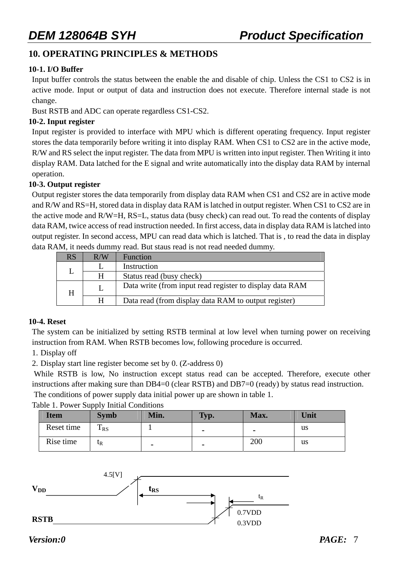### **10. OPERATING PRINCIPLES & METHODS**

### **10-1. I/O Buffer**

Input buffer controls the status between the enable the and disable of chip. Unless the CS1 to CS2 is in active mode. Input or output of data and instruction does not execute. Therefore internal stade is not change.

Bust RSTB and ADC can operate regardless CS1-CS2.

### **10-2. Input register**

Input register is provided to interface with MPU which is different operating frequency. Input register stores the data temporarily before writing it into display RAM. When CS1 to CS2 are in the active mode, R/W and RS select the input register. The data from MPU is written into input register. Then Writing it into display RAM. Data latched for the E signal and write automatically into the display data RAM by internal operation.

### **10-3. Output register**

Output register stores the data temporarily from display data RAM when CS1 and CS2 are in active mode and R/W and RS=H, stored data in display data RAM is latched in output register. When CS1 to CS2 are in the active mode and R/W=H, RS=L, status data (busy check) can read out. To read the contents of display data RAM, twice access of read instruction needed. In first access, data in display data RAM is latched into output register. In second access, MPU can read data which is latched. That is , to read the data in display data RAM, it needs dummy read. But staus read is not read needed dummy.

| <b>RS</b> | R/W | Function                                                 |
|-----------|-----|----------------------------------------------------------|
|           |     | Instruction                                              |
|           | H   | Status read (busy check)                                 |
| H         |     | Data write (from input read register to display data RAM |
|           | H   | Data read (from display data RAM to output register)     |

### **10-4. Reset**

The system can be initialized by setting RSTB terminal at low level when turning power on receiving instruction from RAM. When RSTB becomes low, following procedure is occurred.

### 1. Display off

2. Display start line register become set by 0. (Z-address 0)

 While RSTB is low, No instruction except status read can be accepted. Therefore, execute other instructions after making sure than DB4=0 (clear RSTB) and DB7=0 (ready) by status read instruction. The conditions of power supply data initial power up are shown in table 1.

|                                          | . |  |
|------------------------------------------|---|--|
| Table 1. Power Supply Initial Conditions |   |  |

| <b>Item</b> | <b>Symb</b>          | Min. | Typ. | Max. | Unit |
|-------------|----------------------|------|------|------|------|
| Reset time  | m<br>1 <sub>RS</sub> |      |      | -    | us   |
| Rise time   | $\iota_{R}$          | -    |      | 200  | us   |

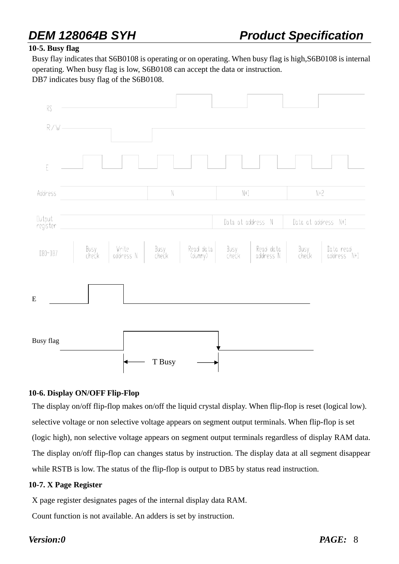### **10-5. Busy flag**

Busy flay indicates that S6B0108 is operating or on operating. When busy flag is high,S6B0108 is internal operating. When busy flag is low, S6B0108 can accept the data or instruction.

DB7 indicates busy flag of the S6B0108.



### **10-6. Display ON/OFF Flip-Flop**

The display on/off flip-flop makes on/off the liquid crystal display. When flip-flop is reset (logical low). selective voltage or non selective voltage appears on segment output terminals. When flip-flop is set (logic high), non selective voltage appears on segment output terminals regardless of display RAM data. The display on/off flip-flop can changes status by instruction. The display data at all segment disappear while RSTB is low. The status of the flip-flop is output to DB5 by status read instruction.

### **10-7. X Page Register**

X page register designates pages of the internal display data RAM.

Count function is not available. An adders is set by instruction.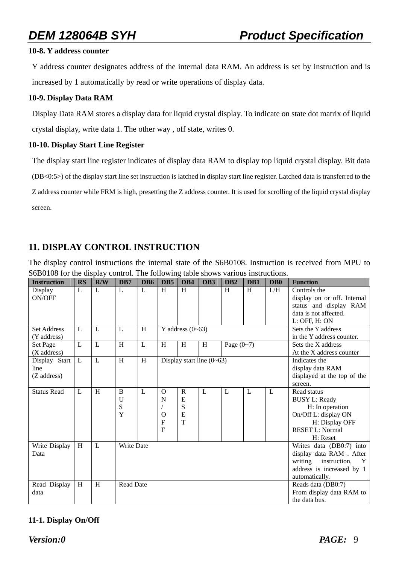### **10-8. Y address counter**

Y address counter designates address of the internal data RAM. An address is set by instruction and is increased by 1 automatically by read or write operations of display data.

### **10-9. Display Data RAM**

Display Data RAM stores a display data for liquid crystal display. To indicate on state dot matrix of liquid crystal display, write data 1. The other way , off state, writes 0.

### **10-10. Display Start Line Register**

The display start line register indicates of display data RAM to display top liquid crystal display. Bit data (DB<0:5>) of the display start line set instruction is latched in display start line register. Latched data is transferred to the Z address counter while FRM is high, presetting the Z address counter. It is used for scrolling of the liquid crystal display screen.

### **11. DISPLAY CONTROL INSTRUCTION**

The display control instructions the internal state of the S6B0108. Instruction is received from MPU to S6B0108 for the display control. The following table shows various instructions.

| <b>Instruction</b> | <b>RS</b>      | R/W | D <sub>B7</sub>   | D <sub>B6</sub> | D <sub>B5</sub> | D <sub>B4</sub>    | DB <sub>3</sub>                 | D <sub>B</sub> 2 | D <sub>B1</sub> | DB <sub>0</sub> | <b>Function</b>                         |
|--------------------|----------------|-----|-------------------|-----------------|-----------------|--------------------|---------------------------------|------------------|-----------------|-----------------|-----------------------------------------|
| Display            | L              | L   | L                 | L               | H               | H                  |                                 | H                | H               | L/H             | Controls the                            |
| ON/OFF             |                |     |                   |                 |                 |                    |                                 |                  |                 |                 | display on or off. Internal             |
|                    |                |     |                   |                 |                 |                    |                                 |                  |                 |                 | status and display RAM                  |
|                    |                |     |                   |                 |                 |                    |                                 |                  |                 |                 | data is not affected.                   |
|                    |                |     |                   |                 |                 |                    |                                 |                  |                 |                 | L: OFF, H: ON                           |
| <b>Set Address</b> | $\mathbf{I}$ . | L   | L                 | H               |                 | Y address $(0-63)$ |                                 |                  |                 |                 | Sets the Y address                      |
| (Y address)        |                |     |                   |                 |                 |                    |                                 |                  |                 |                 | in the Y address counter.               |
| Set Page           | L              | L   | H                 | L               | H               | H                  | H                               | Page $(0-7)$     |                 |                 | Sets the X address                      |
| $(X$ address)      |                |     |                   |                 |                 |                    |                                 |                  |                 |                 | At the X address counter                |
| Display Start      | L              | L   | H                 | H               |                 |                    | Display start line $(0\neg 63)$ |                  |                 |                 | Indicates the                           |
| line               |                |     |                   |                 |                 |                    |                                 |                  |                 |                 | display data RAM                        |
| (Z address)        |                |     |                   |                 |                 |                    |                                 |                  |                 |                 | displayed at the top of the             |
|                    |                |     |                   |                 |                 |                    |                                 |                  |                 |                 | screen.                                 |
| <b>Status Read</b> | $\mathbf{I}$ . | H   | B                 | L               | $\Omega$        | $\mathbf R$        | L                               | L                | L               | L               | Read status                             |
|                    |                |     | U                 |                 | N               | E                  |                                 |                  |                 |                 | <b>BUSY L: Ready</b>                    |
|                    |                |     | S                 |                 |                 | ${\bf S}$          |                                 |                  |                 |                 | H: In operation                         |
|                    |                |     | Y                 |                 | $\Omega$        | E                  |                                 |                  |                 |                 | On/Off L: display ON                    |
|                    |                |     |                   |                 | $\overline{F}$  | T                  |                                 |                  |                 |                 | H: Display OFF                          |
|                    |                |     |                   |                 | F               |                    |                                 |                  |                 |                 | <b>RESET L: Normal</b>                  |
|                    |                |     |                   |                 |                 |                    |                                 |                  |                 |                 | H: Reset                                |
| Write Display      | H              | L   | <b>Write Date</b> |                 |                 |                    |                                 |                  |                 |                 | Writes data (DB0:7) into                |
| Data               |                |     |                   |                 |                 |                    |                                 |                  |                 |                 | display data RAM . After                |
|                    |                |     |                   |                 |                 |                    |                                 |                  |                 |                 | writing<br>instruction,<br>$\mathbf{Y}$ |
|                    |                |     |                   |                 |                 |                    |                                 |                  |                 |                 | address is increased by 1               |
|                    |                |     |                   |                 |                 |                    |                                 |                  |                 |                 | automatically.                          |
| Read Display       | H              | H   | <b>Read Date</b>  |                 |                 |                    |                                 |                  |                 |                 | Reads data (DB0:7)                      |
| data               |                |     |                   |                 |                 |                    |                                 |                  |                 |                 | From display data RAM to                |
|                    |                |     |                   |                 |                 |                    |                                 |                  |                 |                 | the data bus.                           |

### **11-1. Display On/Off**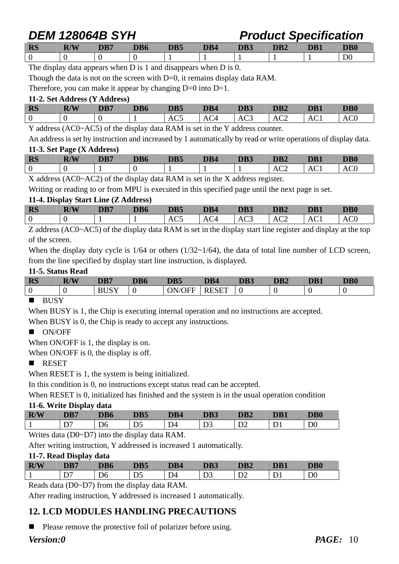*DEM 128064B SYH Product Specification* 

| <b>RS</b> | R/W<br>IV | DB7 | DB6 | DB5 | DB4 | DB3 | DB <sub>2</sub> | DB1 | DB <sub>0</sub> |
|-----------|-----------|-----|-----|-----|-----|-----|-----------------|-----|-----------------|
|           |           |     |     |     |     |     |                 |     | D0              |

The display data appears when D is 1 and disappears when D is 0.

Though the data is not on the screen with D=0, it remains display data RAM.

Therefore, you can make it appear by changing  $D=0$  into  $D=1$ .

### **11-2. Set Address (Y Address)**

| <b>RS</b> | R/W | DB7 | DB6 | DB5 | DB4 | DB3             | DB <sub>2</sub> | DB <sub>1</sub> | DB <sub>0</sub> |
|-----------|-----|-----|-----|-----|-----|-----------------|-----------------|-----------------|-----------------|
| - 0       |     |     |     | AC5 | AC4 | AC <sub>3</sub> | AC2             | AC1             | $\Delta$ CC     |
|           |     |     |     |     |     |                 |                 |                 |                 |

Y address (AC0~AC5) of the display data RAM is set in the Y address counter.

An address is set by instruction and increased by 1 automatically by read or write operations of display data. **11-3. Set Page (X Address)** 

| <b>RS</b> | R/W | DB7 | DB6 | DB5 | DB4 | DB3 | DB <sub>2</sub> | DB1 | DB <sub>0</sub> |
|-----------|-----|-----|-----|-----|-----|-----|-----------------|-----|-----------------|
|           |     |     |     |     |     |     | AC2             | ACI | AU              |

X address (AC0~AC2) of the display data RAM is set in the X address register.

Writing or reading to or from MPU is executed in this specified page until the next page is set.

### **11-4. Display Start Line (Z Address)**

| <b>RS</b> | R/W | DB7 | DB6 | DB5 | DB4 | DB3 | DB <sub>2</sub> | DB1 | $\mathbf{DB}0$ |
|-----------|-----|-----|-----|-----|-----|-----|-----------------|-----|----------------|
| 0         |     |     |     | w   |     | AC3 | AU 2            | AUI |                |

Z address (AC0~AC5) of the display data RAM is set in the display start line register and display at the top of the screen.

When the display duty cycle is  $1/64$  or others ( $1/32~1/64$ ), the data of total line number of LCD screen, from the line specified by display start line instruction, is displayed.

### **11-5. Status Read**

| <b>RS</b>        | <b>R/W</b> | DD7 | nd/<br>DB0 | DB5      | DB4 | DB3 | DR2 | DB <sub>1</sub> | <b>DB0</b> |
|------------------|------------|-----|------------|----------|-----|-----|-----|-----------------|------------|
| $\boldsymbol{0}$ |            | .   |            | N<br>,нь | י ש |     |     |                 |            |
| ______           |            |     |            |          |     |     |     |                 |            |

### **BUSY**

When BUSY is 1, the Chip is executing internal operation and no instructions are accepted.

When BUSY is 0, the Chip is ready to accept any instructions.

### **ON/OFF**

When ON/OFF is 1, the display is on.

When ON/OFF is 0, the display is off.

### **RESET**

When RESET is 1, the system is being initialized.

In this condition is 0, no instructions except status read can be accepted.

When RESET is 0, initialized has finished and the system is in the usual operation condition

### **11-6. Write Display data**

| R/W | -<br>DB7 | nn.<br>VD0  | DB5            |              | DB3      | DB <sub>2</sub> | DB <sub>1</sub> | <b>DB0</b>                                 |
|-----|----------|-------------|----------------|--------------|----------|-----------------|-----------------|--------------------------------------------|
|     | ້        | Dσ<br>_____ | D <sub>5</sub> | $\sim$<br>D4 | ້<br>- - | ◡▵              | ້               | D <sub>0</sub><br>$\overline{\phantom{0}}$ |

Writes data (D0~D7) into the display data RAM.

After writing instruction, Y addressed is increased 1 automatically.

### **11-7. Read Display data**

| R/W | $\sim$<br>DB7 | DB6 | ND E<br>JDF    | DB4            | DB3 | DB <sub>2</sub> | DD 1 | $\overline{\text{DB}0}$ |
|-----|---------------|-----|----------------|----------------|-----|-----------------|------|-------------------------|
| л.  |               | Dσ  | D <sub>5</sub> | D <sub>4</sub> | ້   | ◡               |      | D <sub>0</sub>          |

Reads data (D0~D7) from the display data RAM.

After reading instruction, Y addressed is increased 1 automatically.

### **12. LCD MODULES HANDLING PRECAUTIONS**

 $\blacksquare$  Please remove the protective foil of polarizer before using.